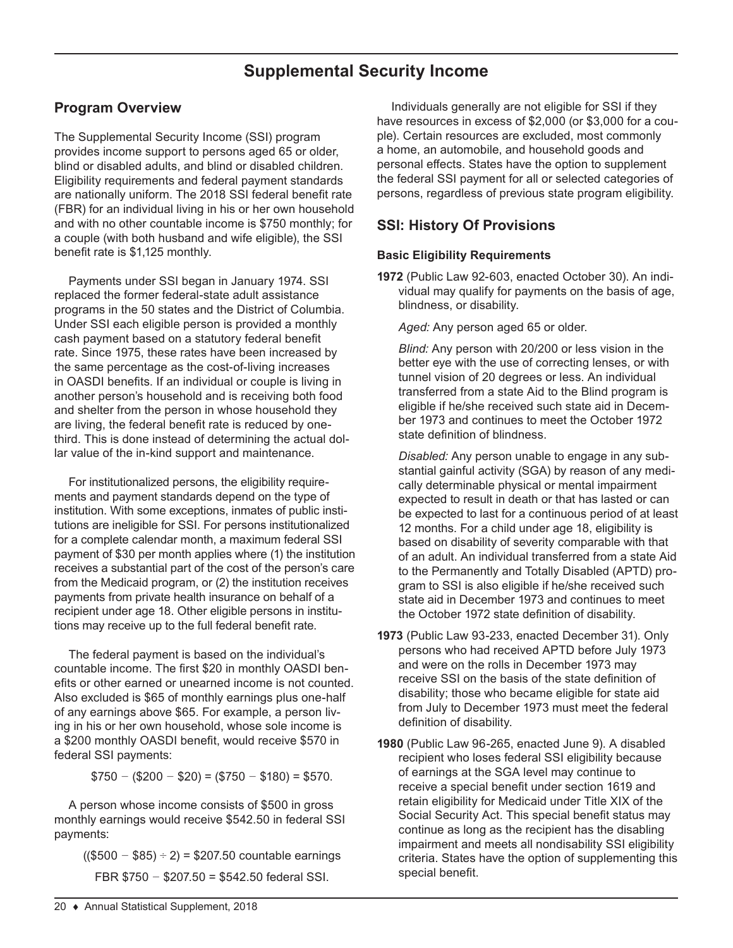# **Supplemental Security Income**

## **Program Overview**

The Supplemental Security Income (SSI) program provides income support to persons aged 65 or older, blind or disabled adults, and blind or disabled children. Eligibility requirements and federal payment standards are nationally uniform. The 2018 SSI federal benefit rate (FBR) for an individual living in his or her own household and with no other countable income is \$750 monthly; for a couple (with both husband and wife eligible), the SSI benefit rate is \$1,125 monthly.

Payments under SSI began in January 1974. SSI replaced the former federal-state adult assistance programs in the 50 states and the District of Columbia. Under SSI each eligible person is provided a monthly cash payment based on a statutory federal benefit rate. Since 1975, these rates have been increased by the same percentage as the cost-of-living increases in OASDI benefits. If an individual or couple is living in another person's household and is receiving both food and shelter from the person in whose household they are living, the federal benefit rate is reduced by onethird. This is done instead of determining the actual dollar value of the in-kind support and maintenance.

For institutionalized persons, the eligibility requirements and payment standards depend on the type of institution. With some exceptions, inmates of public institutions are ineligible for SSI. For persons institutionalized for a complete calendar month, a maximum federal SSI payment of \$30 per month applies where (1) the institution receives a substantial part of the cost of the person's care from the Medicaid program, or (2) the institution receives payments from private health insurance on behalf of a recipient under age 18. Other eligible persons in institutions may receive up to the full federal benefit rate.

The federal payment is based on the individual's countable income. The first \$20 in monthly OASDI benefits or other earned or unearned income is not counted. Also excluded is \$65 of monthly earnings plus one-half of any earnings above \$65. For example, a person living in his or her own household, whose sole income is a \$200 monthly OASDI benefit, would receive \$570 in federal SSI payments:

\$750 *−* (\$200 *−* \$20) = (\$750 *−* \$180) = \$570.

A person whose income consists of \$500 in gross monthly earnings would receive \$542.50 in federal SSI payments:

((\$500 *−* \$85) *÷* 2) = \$207.50 countable earnings FBR \$750 *−* \$207.50 = \$542.50 federal SSI.

Individuals generally are not eligible for SSI if they have resources in excess of \$2,000 (or \$3,000 for a couple). Certain resources are excluded, most commonly a home, an automobile, and household goods and personal effects. States have the option to supplement the federal SSI payment for all or selected categories of persons, regardless of previous state program eligibility.

## **SSI: History Of Provisions**

## **Basic Eligibility Requirements**

**1972** (Public Law 92-603, enacted October 30). An individual may qualify for payments on the basis of age, blindness, or disability.

*Aged:* Any person aged 65 or older.

*Blind:* Any person with 20/200 or less vision in the better eye with the use of correcting lenses, or with tunnel vision of 20 degrees or less. An individual transferred from a state Aid to the Blind program is eligible if he/she received such state aid in December 1973 and continues to meet the October 1972 state definition of blindness.

*Disabled:* Any person unable to engage in any substantial gainful activity (SGA) by reason of any medically determinable physical or mental impairment expected to result in death or that has lasted or can be expected to last for a continuous period of at least 12 months. For a child under age 18, eligibility is based on disability of severity comparable with that of an adult. An individual transferred from a state Aid to the Permanently and Totally Disabled (APTD) program to SSI is also eligible if he/she received such state aid in December 1973 and continues to meet the October 1972 state definition of disability.

- **1973** (Public Law 93-233, enacted December 31). Only persons who had received APTD before July 1973 and were on the rolls in December 1973 may receive SSI on the basis of the state definition of disability; those who became eligible for state aid from July to December 1973 must meet the federal definition of disability.
- **1980** (Public Law 96-265, enacted June 9). A disabled recipient who loses federal SSI eligibility because of earnings at the SGA level may continue to receive a special benefit under section 1619 and retain eligibility for Medicaid under Title XIX of the Social Security Act. This special benefit status may continue as long as the recipient has the disabling impairment and meets all nondisability SSI eligibility criteria. States have the option of supplementing this special benefit.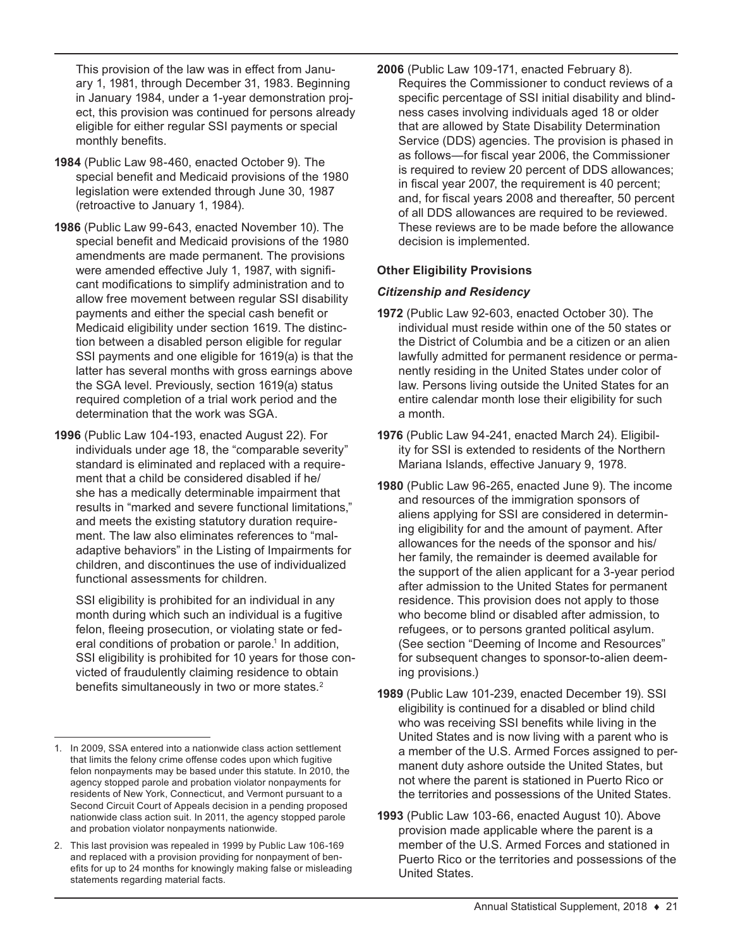This provision of the law was in effect from January 1, 1981, through December 31, 1983. Beginning in January 1984, under a 1-year demonstration project, this provision was continued for persons already eligible for either regular SSI payments or special monthly benefits.

- **1984** (Public Law 98-460, enacted October 9). The special benefit and Medicaid provisions of the 1980 legislation were extended through June 30, 1987 (retroactive to January 1, 1984).
- **1986** (Public Law 99-643, enacted November 10). The special benefit and Medicaid provisions of the 1980 amendments are made permanent. The provisions were amended effective July 1, 1987, with significant modifications to simplify administration and to allow free movement between regular SSI disability payments and either the special cash benefit or Medicaid eligibility under section 1619. The distinction between a disabled person eligible for regular SSI payments and one eligible for 1619(a) is that the latter has several months with gross earnings above the SGA level. Previously, section 1619(a) status required completion of a trial work period and the determination that the work was SGA.
- **1996** (Public Law 104-193, enacted August 22). For individuals under age 18, the "comparable severity" standard is eliminated and replaced with a requirement that a child be considered disabled if he/ she has a medically determinable impairment that results in "marked and severe functional limitations," and meets the existing statutory duration requirement. The law also eliminates references to "maladaptive behaviors" in the Listing of Impairments for children, and discontinues the use of individualized functional assessments for children.

SSI eligibility is prohibited for an individual in any month during which such an individual is a fugitive felon, fleeing prosecution, or violating state or federal conditions of probation or parole.<sup>1</sup> In addition, SSI eligibility is prohibited for 10 years for those convicted of fraudulently claiming residence to obtain benefits simultaneously in two or more states.<sup>2</sup>

**2006** (Public Law 109-171, enacted February 8). Requires the Commissioner to conduct reviews of a specific percentage of SSI initial disability and blindness cases involving individuals aged 18 or older that are allowed by State Disability Determination Service (DDS) agencies. The provision is phased in as follows—for fiscal year 2006, the Commissioner is required to review 20 percent of DDS allowances; in fiscal year 2007, the requirement is 40 percent; and, for fiscal years 2008 and thereafter, 50 percent of all DDS allowances are required to be reviewed. These reviews are to be made before the allowance decision is implemented.

## **Other Eligibility Provisions**

#### *Citizenship and Residency*

- **1972** (Public Law 92-603, enacted October 30). The individual must reside within one of the 50 states or the District of Columbia and be a citizen or an alien lawfully admitted for permanent residence or permanently residing in the United States under color of law. Persons living outside the United States for an entire calendar month lose their eligibility for such a month.
- **1976** (Public Law 94-241, enacted March 24). Eligibility for SSI is extended to residents of the Northern Mariana Islands, effective January 9, 1978.
- **1980** (Public Law 96-265, enacted June 9). The income and resources of the immigration sponsors of aliens applying for SSI are considered in determining eligibility for and the amount of payment. After allowances for the needs of the sponsor and his/ her family, the remainder is deemed available for the support of the alien applicant for a 3-year period after admission to the United States for permanent residence. This provision does not apply to those who become blind or disabled after admission, to refugees, or to persons granted political asylum. (See section "Deeming of Income and Resources" for subsequent changes to sponsor-to-alien deeming provisions.)
- **1989** (Public Law 101-239, enacted December 19). SSI eligibility is continued for a disabled or blind child who was receiving SSI benefits while living in the United States and is now living with a parent who is a member of the U.S. Armed Forces assigned to permanent duty ashore outside the United States, but not where the parent is stationed in Puerto Rico or the territories and possessions of the United States.
- **1993** (Public Law 103-66, enacted August 10). Above provision made applicable where the parent is a member of the U.S. Armed Forces and stationed in Puerto Rico or the territories and possessions of the United States.

<sup>1.</sup> In 2009, SSA entered into a nationwide class action settlement that limits the felony crime offense codes upon which fugitive felon nonpayments may be based under this statute. In 2010, the agency stopped parole and probation violator nonpayments for residents of New York, Connecticut, and Vermont pursuant to a Second Circuit Court of Appeals decision in a pending proposed nationwide class action suit. In 2011, the agency stopped parole and probation violator nonpayments nationwide.

<sup>2.</sup> This last provision was repealed in 1999 by Public Law 106-169 and replaced with a provision providing for nonpayment of benefits for up to 24 months for knowingly making false or misleading statements regarding material facts.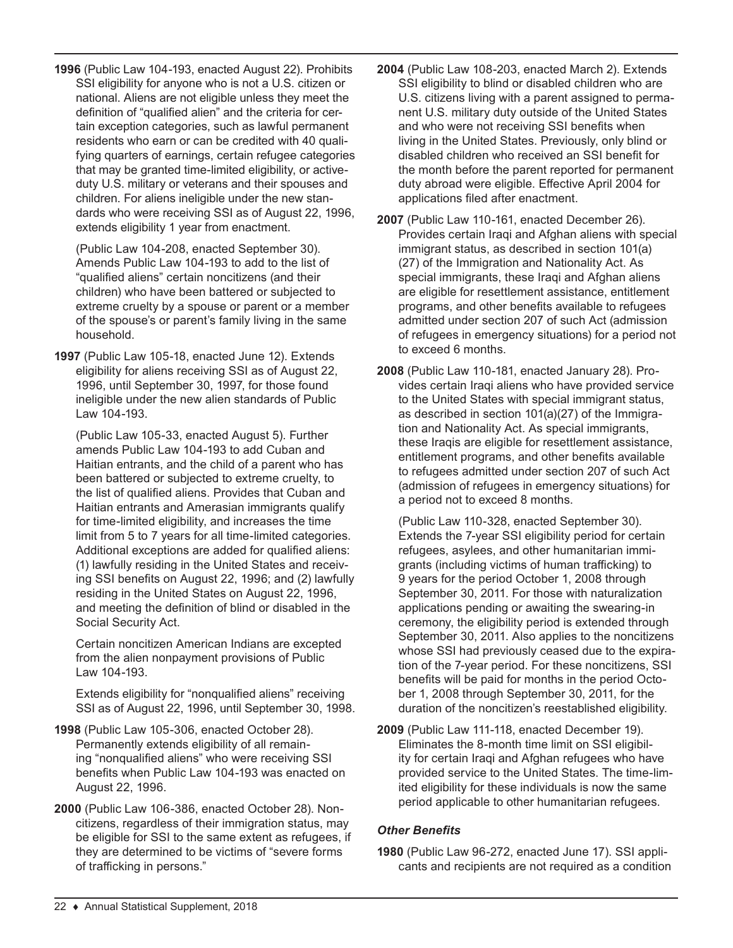**1996** (Public Law 104-193, enacted August 22). Prohibits SSI eligibility for anyone who is not a U.S. citizen or national. Aliens are not eligible unless they meet the definition of "qualified alien" and the criteria for certain exception categories, such as lawful permanent residents who earn or can be credited with 40 qualifying quarters of earnings, certain refugee categories that may be granted time-limited eligibility, or activeduty U.S. military or veterans and their spouses and children. For aliens ineligible under the new standards who were receiving SSI as of August 22, 1996, extends eligibility 1 year from enactment.

(Public Law 104-208, enacted September 30). Amends Public Law 104-193 to add to the list of "qualified aliens" certain noncitizens (and their children) who have been battered or subjected to extreme cruelty by a spouse or parent or a member of the spouse's or parent's family living in the same household.

**1997** (Public Law 105-18, enacted June 12). Extends eligibility for aliens receiving SSI as of August 22, 1996, until September 30, 1997, for those found ineligible under the new alien standards of Public Law 104-193.

(Public Law 105-33, enacted August 5). Further amends Public Law 104-193 to add Cuban and Haitian entrants, and the child of a parent who has been battered or subjected to extreme cruelty, to the list of qualified aliens. Provides that Cuban and Haitian entrants and Amerasian immigrants qualify for time-limited eligibility, and increases the time limit from 5 to 7 years for all time-limited categories. Additional exceptions are added for qualified aliens: (1) lawfully residing in the United States and receiving SSI benefits on August 22, 1996; and (2) lawfully residing in the United States on August 22, 1996, and meeting the definition of blind or disabled in the Social Security Act.

Certain noncitizen American Indians are excepted from the alien nonpayment provisions of Public Law 104-193.

Extends eligibility for "nonqualified aliens" receiving SSI as of August 22, 1996, until September 30, 1998.

- **1998** (Public Law 105-306, enacted October 28). Permanently extends eligibility of all remaining "nonqualified aliens" who were receiving SSI benefits when Public Law 104-193 was enacted on August 22, 1996.
- **2000** (Public Law 106-386, enacted October 28). Noncitizens, regardless of their immigration status, may be eligible for SSI to the same extent as refugees, if they are determined to be victims of "severe forms of trafficking in persons."
- **2004** (Public Law 108-203, enacted March 2). Extends SSI eligibility to blind or disabled children who are U.S. citizens living with a parent assigned to permanent U.S. military duty outside of the United States and who were not receiving SSI benefits when living in the United States. Previously, only blind or disabled children who received an SSI benefit for the month before the parent reported for permanent duty abroad were eligible. Effective April 2004 for applications filed after enactment.
- **2007** (Public Law 110-161, enacted December 26). Provides certain Iraqi and Afghan aliens with special immigrant status, as described in section 101(a) (27) of the Immigration and Nationality Act. As special immigrants, these Iraqi and Afghan aliens are eligible for resettlement assistance, entitlement programs, and other benefits available to refugees admitted under section 207 of such Act (admission of refugees in emergency situations) for a period not to exceed 6 months.
- **2008** (Public Law 110-181, enacted January 28). Provides certain Iraqi aliens who have provided service to the United States with special immigrant status, as described in section 101(a)(27) of the Immigration and Nationality Act. As special immigrants, these Iraqis are eligible for resettlement assistance, entitlement programs, and other benefits available to refugees admitted under section 207 of such Act (admission of refugees in emergency situations) for a period not to exceed 8 months.

(Public Law 110-328, enacted September 30). Extends the 7-year SSI eligibility period for certain refugees, asylees, and other humanitarian immigrants (including victims of human trafficking) to 9 years for the period October 1, 2008 through September 30, 2011. For those with naturalization applications pending or awaiting the swearing-in ceremony, the eligibility period is extended through September 30, 2011. Also applies to the noncitizens whose SSI had previously ceased due to the expiration of the 7-year period. For these noncitizens, SSI benefits will be paid for months in the period October 1, 2008 through September 30, 2011, for the duration of the noncitizen's reestablished eligibility.

**2009** (Public Law 111-118, enacted December 19). Eliminates the 8-month time limit on SSI eligibility for certain Iraqi and Afghan refugees who have provided service to the United States. The time-limited eligibility for these individuals is now the same period applicable to other humanitarian refugees.

#### *Other Benefits*

**1980** (Public Law 96-272, enacted June 17). SSI applicants and recipients are not required as a condition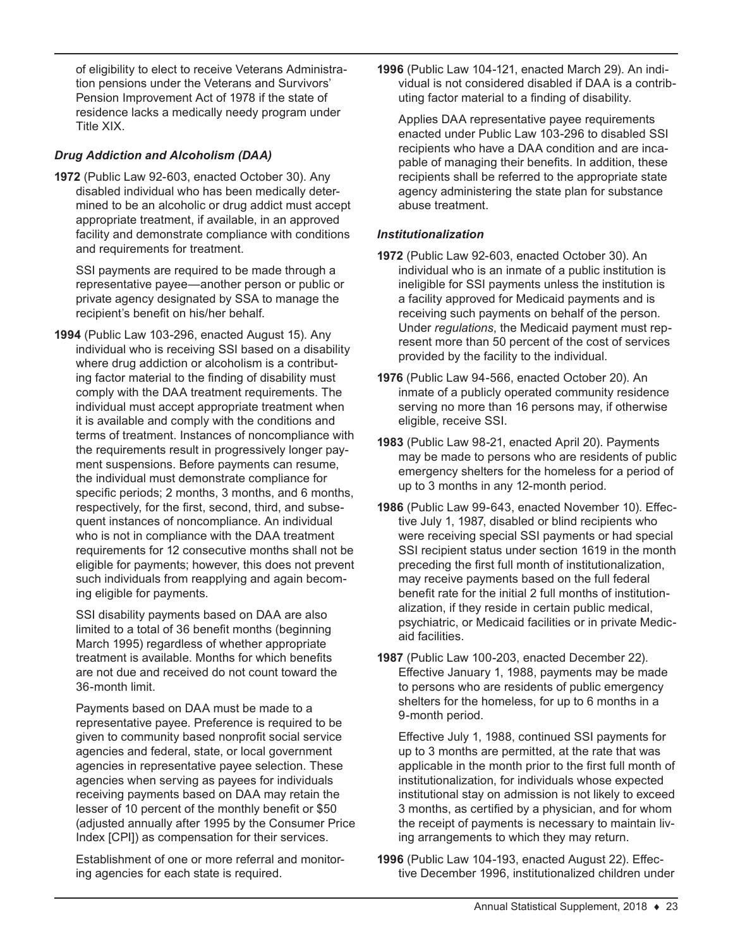of eligibility to elect to receive Veterans Administration pensions under the Veterans and Survivors' Pension Improvement Act of 1978 if the state of residence lacks a medically needy program under Title XIX.

## *Drug Addiction and Alcoholism (DAA)*

**1972** (Public Law 92-603, enacted October 30). Any disabled individual who has been medically determined to be an alcoholic or drug addict must accept appropriate treatment, if available, in an approved facility and demonstrate compliance with conditions and requirements for treatment.

SSI payments are required to be made through a representative payee—another person or public or private agency designated by SSA to manage the recipient's benefit on his/her behalf.

**1994** (Public Law 103-296, enacted August 15). Any individual who is receiving SSI based on a disability where drug addiction or alcoholism is a contributing factor material to the finding of disability must comply with the DAA treatment requirements. The individual must accept appropriate treatment when it is available and comply with the conditions and terms of treatment. Instances of noncompliance with the requirements result in progressively longer payment suspensions. Before payments can resume, the individual must demonstrate compliance for specific periods; 2 months, 3 months, and 6 months, respectively, for the first, second, third, and subsequent instances of noncompliance. An individual who is not in compliance with the DAA treatment requirements for 12 consecutive months shall not be eligible for payments; however, this does not prevent such individuals from reapplying and again becoming eligible for payments.

SSI disability payments based on DAA are also limited to a total of 36 benefit months (beginning March 1995) regardless of whether appropriate treatment is available. Months for which benefits are not due and received do not count toward the 36-month limit.

Payments based on DAA must be made to a representative payee. Preference is required to be given to community based nonprofit social service agencies and federal, state, or local government agencies in representative payee selection. These agencies when serving as payees for individuals receiving payments based on DAA may retain the lesser of 10 percent of the monthly benefit or \$50 (adjusted annually after 1995 by the Consumer Price Index [CPI]) as compensation for their services.

Establishment of one or more referral and monitoring agencies for each state is required.

**1996** (Public Law 104-121, enacted March 29). An individual is not considered disabled if DAA is a contributing factor material to a finding of disability.

Applies DAA representative payee requirements enacted under Public Law 103-296 to disabled SSI recipients who have a DAA condition and are incapable of managing their benefits. In addition, these recipients shall be referred to the appropriate state agency administering the state plan for substance abuse treatment.

## *Institutionalization*

- **1972** (Public Law 92-603, enacted October 30). An individual who is an inmate of a public institution is ineligible for SSI payments unless the institution is a facility approved for Medicaid payments and is receiving such payments on behalf of the person. Under *regulations*, the Medicaid payment must represent more than 50 percent of the cost of services provided by the facility to the individual.
- **1976** (Public Law 94-566, enacted October 20). An inmate of a publicly operated community residence serving no more than 16 persons may, if otherwise eligible, receive SSI.
- **1983** (Public Law 98-21, enacted April 20). Payments may be made to persons who are residents of public emergency shelters for the homeless for a period of up to 3 months in any 12-month period.
- **1986** (Public Law 99-643, enacted November 10). Effective July 1, 1987, disabled or blind recipients who were receiving special SSI payments or had special SSI recipient status under section 1619 in the month preceding the first full month of institutionalization, may receive payments based on the full federal benefit rate for the initial 2 full months of institutionalization, if they reside in certain public medical, psychiatric, or Medicaid facilities or in private Medicaid facilities.
- **1987** (Public Law 100-203, enacted December 22). Effective January 1, 1988, payments may be made to persons who are residents of public emergency shelters for the homeless, for up to 6 months in a 9-month period.

Effective July 1, 1988, continued SSI payments for up to 3 months are permitted, at the rate that was applicable in the month prior to the first full month of institutionalization, for individuals whose expected institutional stay on admission is not likely to exceed 3 months, as certified by a physician, and for whom the receipt of payments is necessary to maintain living arrangements to which they may return.

**1996** (Public Law 104-193, enacted August 22). Effective December 1996, institutionalized children under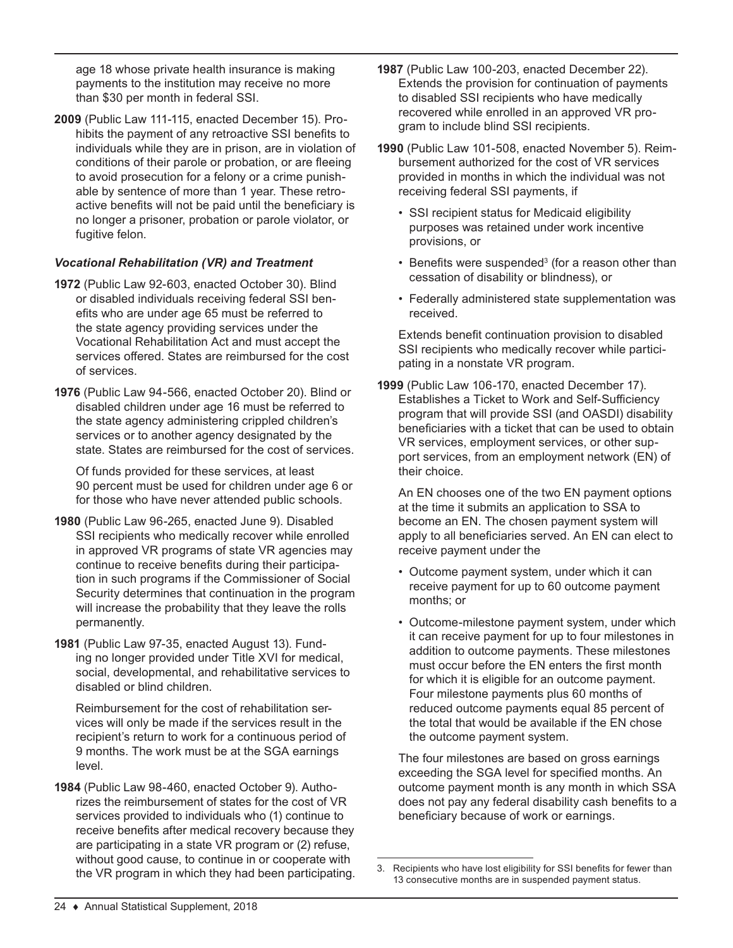age 18 whose private health insurance is making payments to the institution may receive no more than \$30 per month in federal SSI.

**2009** (Public Law 111-115, enacted December 15). Prohibits the payment of any retroactive SSI benefits to individuals while they are in prison, are in violation of conditions of their parole or probation, or are fleeing to avoid prosecution for a felony or a crime punishable by sentence of more than 1 year. These retroactive benefits will not be paid until the beneficiary is no longer a prisoner, probation or parole violator, or fugitive felon.

## *Vocational Rehabilitation (VR) and Treatment*

- **1972** (Public Law 92-603, enacted October 30). Blind or disabled individuals receiving federal SSI benefits who are under age 65 must be referred to the state agency providing services under the Vocational Rehabilitation Act and must accept the services offered. States are reimbursed for the cost of services.
- **1976** (Public Law 94-566, enacted October 20). Blind or disabled children under age 16 must be referred to the state agency administering crippled children's services or to another agency designated by the state. States are reimbursed for the cost of services.

Of funds provided for these services, at least 90 percent must be used for children under age 6 or for those who have never attended public schools.

- **1980** (Public Law 96-265, enacted June 9). Disabled SSI recipients who medically recover while enrolled in approved VR programs of state VR agencies may continue to receive benefits during their participation in such programs if the Commissioner of Social Security determines that continuation in the program will increase the probability that they leave the rolls permanently.
- **1981** (Public Law 97-35, enacted August 13). Funding no longer provided under Title XVI for medical, social, developmental, and rehabilitative services to disabled or blind children.

Reimbursement for the cost of rehabilitation services will only be made if the services result in the recipient's return to work for a continuous period of 9 months. The work must be at the SGA earnings level.

**1984** (Public Law 98-460, enacted October 9). Authorizes the reimbursement of states for the cost of VR services provided to individuals who (1) continue to receive benefits after medical recovery because they are participating in a state VR program or (2) refuse, without good cause, to continue in or cooperate with the VR program in which they had been participating.

- **1987** (Public Law 100-203, enacted December 22). Extends the provision for continuation of payments to disabled SSI recipients who have medically recovered while enrolled in an approved VR program to include blind SSI recipients.
- **1990** (Public Law 101-508, enacted November 5). Reimbursement authorized for the cost of VR services provided in months in which the individual was not receiving federal SSI payments, if
	- SSI recipient status for Medicaid eligibility purposes was retained under work incentive provisions, or
	- $\bullet\,$  Benefits were suspended $^3$  (for a reason other than cessation of disability or blindness), or
	- Federally administered state supplementation was received.

Extends benefit continuation provision to disabled SSI recipients who medically recover while participating in a nonstate VR program.

**1999** (Public Law 106-170, enacted December 17). Establishes a Ticket to Work and Self-Sufficiency program that will provide SSI (and OASDI) disability beneficiaries with a ticket that can be used to obtain VR services, employment services, or other support services, from an employment network (EN) of their choice.

An EN chooses one of the two EN payment options at the time it submits an application to SSA to become an EN. The chosen payment system will apply to all beneficiaries served. An EN can elect to receive payment under the

- Outcome payment system, under which it can receive payment for up to 60 outcome payment months; or
- Outcome-milestone payment system, under which it can receive payment for up to four milestones in addition to outcome payments. These milestones must occur before the EN enters the first month for which it is eligible for an outcome payment. Four milestone payments plus 60 months of reduced outcome payments equal 85 percent of the total that would be available if the EN chose the outcome payment system.

The four milestones are based on gross earnings exceeding the SGA level for specified months. An outcome payment month is any month in which SSA does not pay any federal disability cash benefits to a beneficiary because of work or earnings.

<sup>3.</sup> Recipients who have lost eligibility for SSI benefits for fewer than 13 consecutive months are in suspended payment status.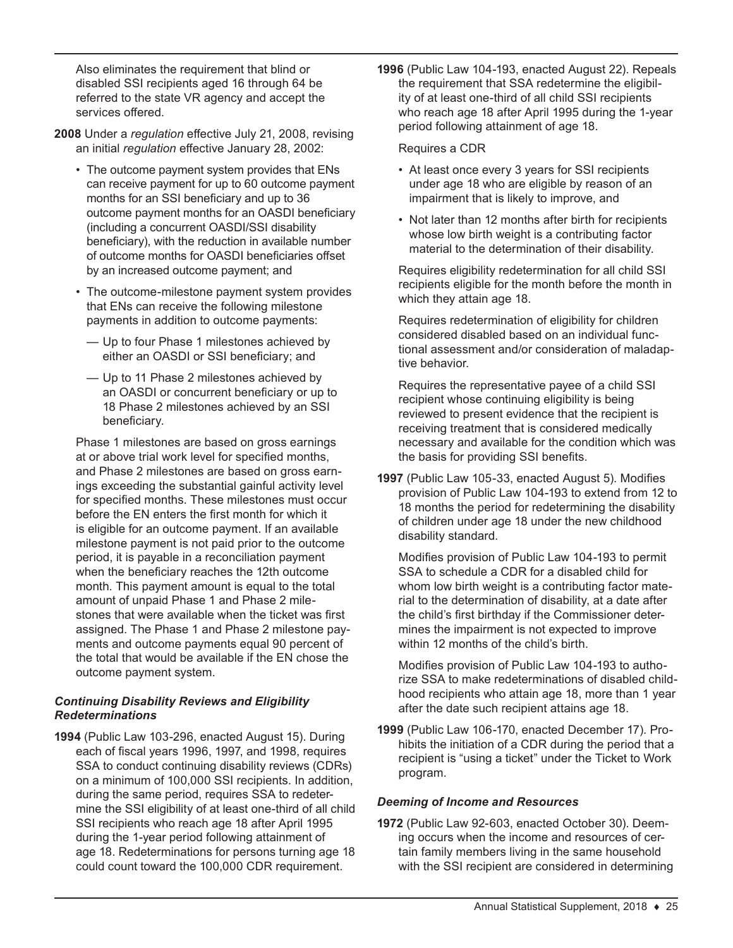Also eliminates the requirement that blind or disabled SSI recipients aged 16 through 64 be referred to the state VR agency and accept the services offered.

- **2008** Under a *regulation* effective July 21, 2008, revising an initial *regulation* effective January 28, 2002:
	- The outcome payment system provides that ENs can receive payment for up to 60 outcome payment months for an SSI beneficiary and up to 36 outcome payment months for an OASDI beneficiary (including a concurrent OASDI/SSI disability beneficiary), with the reduction in available number of outcome months for OASDI beneficiaries offset by an increased outcome payment; and
	- The outcome-milestone payment system provides that ENs can receive the following milestone payments in addition to outcome payments:
		- Up to four Phase 1 milestones achieved by either an OASDI or SSI beneficiary; and
		- Up to 11 Phase 2 milestones achieved by an OASDI or concurrent beneficiary or up to 18 Phase 2 milestones achieved by an SSI beneficiary.

Phase 1 milestones are based on gross earnings at or above trial work level for specified months, and Phase 2 milestones are based on gross earnings exceeding the substantial gainful activity level for specified months. These milestones must occur before the EN enters the first month for which it is eligible for an outcome payment. If an available milestone payment is not paid prior to the outcome period, it is payable in a reconciliation payment when the beneficiary reaches the 12th outcome month. This payment amount is equal to the total amount of unpaid Phase 1 and Phase 2 milestones that were available when the ticket was first assigned. The Phase 1 and Phase 2 milestone payments and outcome payments equal 90 percent of the total that would be available if the EN chose the outcome payment system.

#### *Continuing Disability Reviews and Eligibility Redeterminations*

**1994** (Public Law 103-296, enacted August 15). During each of fiscal years 1996, 1997, and 1998, requires SSA to conduct continuing disability reviews (CDRs) on a minimum of 100,000 SSI recipients. In addition, during the same period, requires SSA to redetermine the SSI eligibility of at least one-third of all child SSI recipients who reach age 18 after April 1995 during the 1-year period following attainment of age 18. Redeterminations for persons turning age 18 could count toward the 100,000 CDR requirement.

**1996** (Public Law 104-193, enacted August 22). Repeals the requirement that SSA redetermine the eligibility of at least one-third of all child SSI recipients who reach age 18 after April 1995 during the 1-year period following attainment of age 18.

#### Requires a CDR

- At least once every 3 years for SSI recipients under age 18 who are eligible by reason of an impairment that is likely to improve, and
- Not later than 12 months after birth for recipients whose low birth weight is a contributing factor material to the determination of their disability.

Requires eligibility redetermination for all child SSI recipients eligible for the month before the month in which they attain age 18.

Requires redetermination of eligibility for children considered disabled based on an individual functional assessment and/or consideration of maladaptive behavior.

Requires the representative payee of a child SSI recipient whose continuing eligibility is being reviewed to present evidence that the recipient is receiving treatment that is considered medically necessary and available for the condition which was the basis for providing SSI benefits.

**1997** (Public Law 105-33, enacted August 5). Modifies provision of Public Law 104-193 to extend from 12 to 18 months the period for redetermining the disability of children under age 18 under the new childhood disability standard.

Modifies provision of Public Law 104-193 to permit SSA to schedule a CDR for a disabled child for whom low birth weight is a contributing factor material to the determination of disability, at a date after the child's first birthday if the Commissioner determines the impairment is not expected to improve within 12 months of the child's birth.

Modifies provision of Public Law 104-193 to authorize SSA to make redeterminations of disabled childhood recipients who attain age 18, more than 1 year after the date such recipient attains age 18.

**1999** (Public Law 106-170, enacted December 17). Prohibits the initiation of a CDR during the period that a recipient is "using a ticket" under the Ticket to Work program.

#### *Deeming of Income and Resources*

**1972** (Public Law 92-603, enacted October 30). Deeming occurs when the income and resources of certain family members living in the same household with the SSI recipient are considered in determining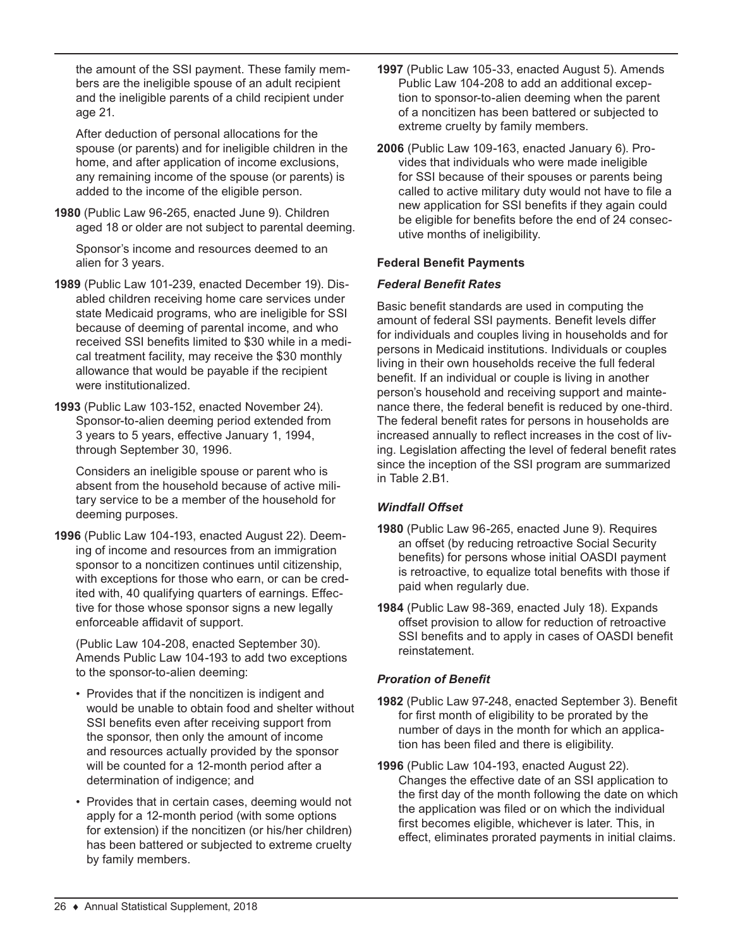the amount of the SSI payment. These family members are the ineligible spouse of an adult recipient and the ineligible parents of a child recipient under age 21.

After deduction of personal allocations for the spouse (or parents) and for ineligible children in the home, and after application of income exclusions, any remaining income of the spouse (or parents) is added to the income of the eligible person.

**1980** (Public Law 96-265, enacted June 9). Children aged 18 or older are not subject to parental deeming.

Sponsor's income and resources deemed to an alien for 3 years.

- **1989** (Public Law 101-239, enacted December 19). Disabled children receiving home care services under state Medicaid programs, who are ineligible for SSI because of deeming of parental income, and who received SSI benefits limited to \$30 while in a medical treatment facility, may receive the \$30 monthly allowance that would be payable if the recipient were institutionalized.
- **1993** (Public Law 103-152, enacted November 24). Sponsor-to-alien deeming period extended from 3 years to 5 years, effective January 1, 1994, through September 30, 1996.

Considers an ineligible spouse or parent who is absent from the household because of active military service to be a member of the household for deeming purposes.

**1996** (Public Law 104-193, enacted August 22). Deeming of income and resources from an immigration sponsor to a noncitizen continues until citizenship, with exceptions for those who earn, or can be credited with, 40 qualifying quarters of earnings. Effective for those whose sponsor signs a new legally enforceable affidavit of support.

(Public Law 104-208, enacted September 30). Amends Public Law 104-193 to add two exceptions to the sponsor-to-alien deeming:

- Provides that if the noncitizen is indigent and would be unable to obtain food and shelter without SSI benefits even after receiving support from the sponsor, then only the amount of income and resources actually provided by the sponsor will be counted for a 12-month period after a determination of indigence; and
- Provides that in certain cases, deeming would not apply for a 12-month period (with some options for extension) if the noncitizen (or his/her children) has been battered or subjected to extreme cruelty by family members.
- **1997** (Public Law 105-33, enacted August 5). Amends Public Law 104-208 to add an additional exception to sponsor-to-alien deeming when the parent of a noncitizen has been battered or subjected to extreme cruelty by family members.
- **2006** (Public Law 109-163, enacted January 6). Provides that individuals who were made ineligible for SSI because of their spouses or parents being called to active military duty would not have to file a new application for SSI benefits if they again could be eligible for benefits before the end of 24 consecutive months of ineligibility.

### **Federal Benefit Payments**

#### *Federal Benefit Rates*

Basic benefit standards are used in computing the amount of federal SSI payments. Benefit levels differ for individuals and couples living in households and for persons in Medicaid institutions. Individuals or couples living in their own households receive the full federal benefit. If an individual or couple is living in another person's household and receiving support and maintenance there, the federal benefit is reduced by one-third. The federal benefit rates for persons in households are increased annually to reflect increases in the cost of living. Legislation affecting the level of federal benefit rates since the inception of the SSI program are summarized in Table 2.B1.

## *Windfall Offset*

- **1980** (Public Law 96-265, enacted June 9). Requires an offset (by reducing retroactive Social Security benefits) for persons whose initial OASDI payment is retroactive, to equalize total benefits with those if paid when regularly due.
- **1984** (Public Law 98-369, enacted July 18). Expands offset provision to allow for reduction of retroactive SSI benefits and to apply in cases of OASDI benefit reinstatement.

#### *Proration of Benefit*

- **1982** (Public Law 97-248, enacted September 3). Benefit for first month of eligibility to be prorated by the number of days in the month for which an application has been filed and there is eligibility.
- **1996** (Public Law 104-193, enacted August 22). Changes the effective date of an SSI application to the first day of the month following the date on which the application was filed or on which the individual first becomes eligible, whichever is later. This, in effect, eliminates prorated payments in initial claims.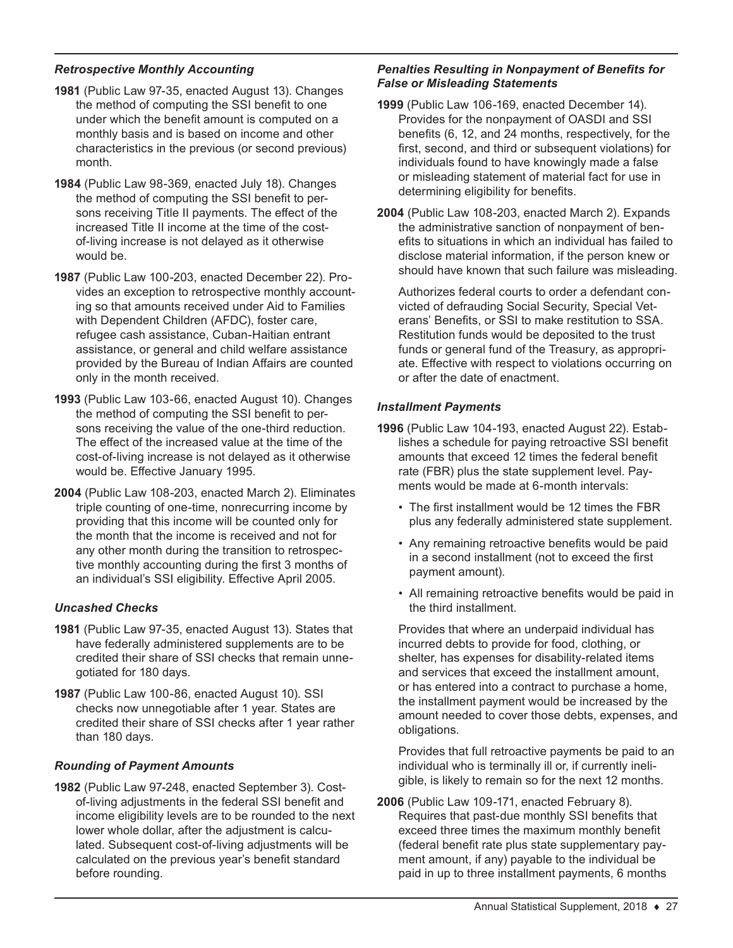## *Retrospective Monthly Accounting*

- **1981** (Public Law 97-35, enacted August 13). Changes the method of computing the SSI benefit to one under which the benefit amount is computed on a monthly basis and is based on income and other characteristics in the previous (or second previous) month.
- **1984** (Public Law 98-369, enacted July 18). Changes the method of computing the SSI benefit to persons receiving Title II payments. The effect of the increased Title II income at the time of the costof-living increase is not delayed as it otherwise would be.
- **1987** (Public Law 100-203, enacted December 22). Provides an exception to retrospective monthly accounting so that amounts received under Aid to Families with Dependent Children (AFDC), foster care, refugee cash assistance, Cuban-Haitian entrant assistance, or general and child welfare assistance provided by the Bureau of Indian Affairs are counted only in the month received.
- **1993** (Public Law 103-66, enacted August 10). Changes the method of computing the SSI benefit to persons receiving the value of the one-third reduction. The effect of the increased value at the time of the cost-of-living increase is not delayed as it otherwise would be. Effective January 1995.
- **2004** (Public Law 108-203, enacted March 2). Eliminates triple counting of one-time, nonrecurring income by providing that this income will be counted only for the month that the income is received and not for any other month during the transition to retrospective monthly accounting during the first 3 months of an individual's SSI eligibility. Effective April 2005.

#### *Uncashed Checks*

- **1981** (Public Law 97-35, enacted August 13). States that have federally administered supplements are to be credited their share of SSI checks that remain unnegotiated for 180 days.
- **1987** (Public Law 100-86, enacted August 10). SSI checks now unnegotiable after 1 year. States are credited their share of SSI checks after 1 year rather than 180 days.

#### *Rounding of Payment Amounts*

**1982** (Public Law 97-248, enacted September 3). Costof-living adjustments in the federal SSI benefit and income eligibility levels are to be rounded to the next lower whole dollar, after the adjustment is calculated. Subsequent cost-of-living adjustments will be calculated on the previous year's benefit standard before rounding.

#### *Penalties Resulting in Nonpayment of Benefits for False or Misleading Statements*

- **1999** (Public Law 106-169, enacted December 14). Provides for the nonpayment of OASDI and SSI benefits (6, 12, and 24 months, respectively, for the first, second, and third or subsequent violations) for individuals found to have knowingly made a false or misleading statement of material fact for use in determining eligibility for benefits.
- **2004** (Public Law 108-203, enacted March 2). Expands the administrative sanction of nonpayment of benefits to situations in which an individual has failed to disclose material information, if the person knew or should have known that such failure was misleading.

Authorizes federal courts to order a defendant convicted of defrauding Social Security, Special Veterans' Benefits, or SSI to make restitution to SSA. Restitution funds would be deposited to the trust funds or general fund of the Treasury, as appropriate. Effective with respect to violations occurring on or after the date of enactment.

#### *Installment Payments*

- **1996** (Public Law 104-193, enacted August 22). Establishes a schedule for paying retroactive SSI benefit amounts that exceed 12 times the federal benefit rate (FBR) plus the state supplement level. Payments would be made at 6-month intervals:
	- The first installment would be 12 times the FBR plus any federally administered state supplement.
	- Any remaining retroactive benefits would be paid in a second installment (not to exceed the first payment amount).
	- All remaining retroactive benefits would be paid in the third installment.

Provides that where an underpaid individual has incurred debts to provide for food, clothing, or shelter, has expenses for disability-related items and services that exceed the installment amount, or has entered into a contract to purchase a home, the installment payment would be increased by the amount needed to cover those debts, expenses, and obligations.

Provides that full retroactive payments be paid to an individual who is terminally ill or, if currently ineligible, is likely to remain so for the next 12 months.

**2006** (Public Law 109-171, enacted February 8). Requires that past-due monthly SSI benefits that exceed three times the maximum monthly benefit (federal benefit rate plus state supplementary payment amount, if any) payable to the individual be paid in up to three installment payments, 6 months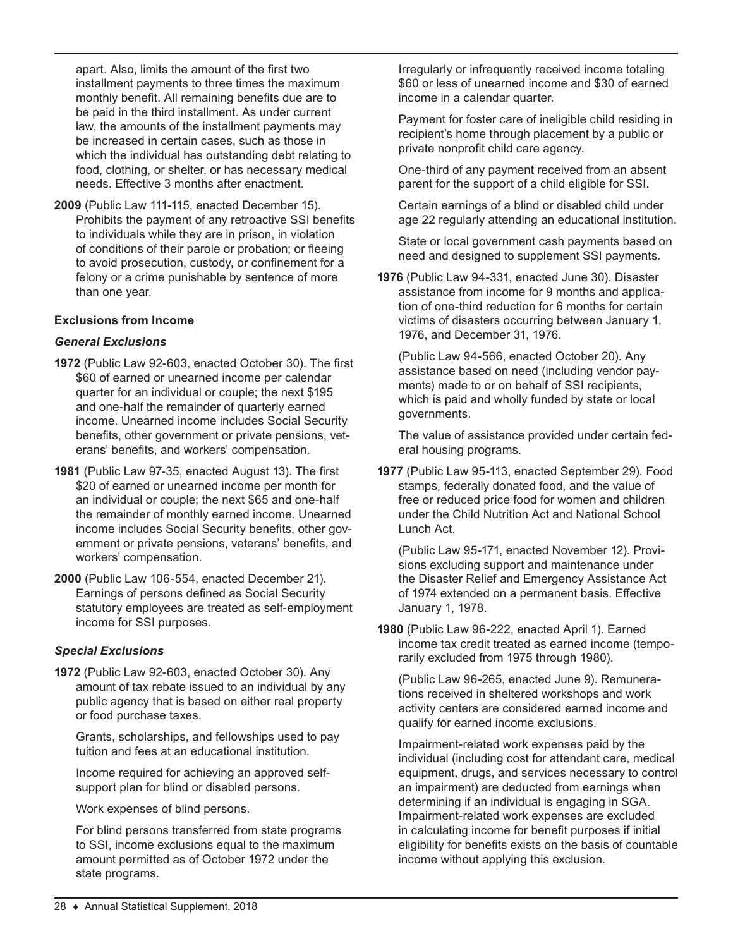apart. Also, limits the amount of the first two installment payments to three times the maximum monthly benefit. All remaining benefits due are to be paid in the third installment. As under current law, the amounts of the installment payments may be increased in certain cases, such as those in which the individual has outstanding debt relating to food, clothing, or shelter, or has necessary medical needs. Effective 3 months after enactment.

**2009** (Public Law 111-115, enacted December 15). Prohibits the payment of any retroactive SSI benefits to individuals while they are in prison, in violation of conditions of their parole or probation; or fleeing to avoid prosecution, custody, or confinement for a felony or a crime punishable by sentence of more than one year.

#### **Exclusions from Income**

#### *General Exclusions*

- **1972** (Public Law 92-603, enacted October 30). The first \$60 of earned or unearned income per calendar quarter for an individual or couple; the next \$195 and one-half the remainder of quarterly earned income. Unearned income includes Social Security benefits, other government or private pensions, veterans' benefits, and workers' compensation.
- **1981** (Public Law 97-35, enacted August 13). The first \$20 of earned or unearned income per month for an individual or couple; the next \$65 and one-half the remainder of monthly earned income. Unearned income includes Social Security benefits, other government or private pensions, veterans' benefits, and workers' compensation.
- **2000** (Public Law 106-554, enacted December 21). Earnings of persons defined as Social Security statutory employees are treated as self-employment income for SSI purposes.

#### *Special Exclusions*

**1972** (Public Law 92-603, enacted October 30). Any amount of tax rebate issued to an individual by any public agency that is based on either real property or food purchase taxes.

Grants, scholarships, and fellowships used to pay tuition and fees at an educational institution.

Income required for achieving an approved selfsupport plan for blind or disabled persons.

Work expenses of blind persons.

For blind persons transferred from state programs to SSI, income exclusions equal to the maximum amount permitted as of October 1972 under the state programs.

Irregularly or infrequently received income totaling \$60 or less of unearned income and \$30 of earned income in a calendar quarter.

Payment for foster care of ineligible child residing in recipient's home through placement by a public or private nonprofit child care agency.

One-third of any payment received from an absent parent for the support of a child eligible for SSI.

Certain earnings of a blind or disabled child under age 22 regularly attending an educational institution.

State or local government cash payments based on need and designed to supplement SSI payments.

**1976** (Public Law 94-331, enacted June 30). Disaster assistance from income for 9 months and application of one-third reduction for 6 months for certain victims of disasters occurring between January 1, 1976, and December 31, 1976.

(Public Law 94-566, enacted October 20). Any assistance based on need (including vendor payments) made to or on behalf of SSI recipients, which is paid and wholly funded by state or local governments.

The value of assistance provided under certain federal housing programs.

**1977** (Public Law 95-113, enacted September 29). Food stamps, federally donated food, and the value of free or reduced price food for women and children under the Child Nutrition Act and National School Lunch Act.

(Public Law 95-171, enacted November 12). Provisions excluding support and maintenance under the Disaster Relief and Emergency Assistance Act of 1974 extended on a permanent basis. Effective January 1, 1978.

**1980** (Public Law 96-222, enacted April 1). Earned income tax credit treated as earned income (temporarily excluded from 1975 through 1980).

(Public Law 96-265, enacted June 9). Remunerations received in sheltered workshops and work activity centers are considered earned income and qualify for earned income exclusions.

Impairment-related work expenses paid by the individual (including cost for attendant care, medical equipment, drugs, and services necessary to control an impairment) are deducted from earnings when determining if an individual is engaging in SGA. Impairment-related work expenses are excluded in calculating income for benefit purposes if initial eligibility for benefits exists on the basis of countable income without applying this exclusion.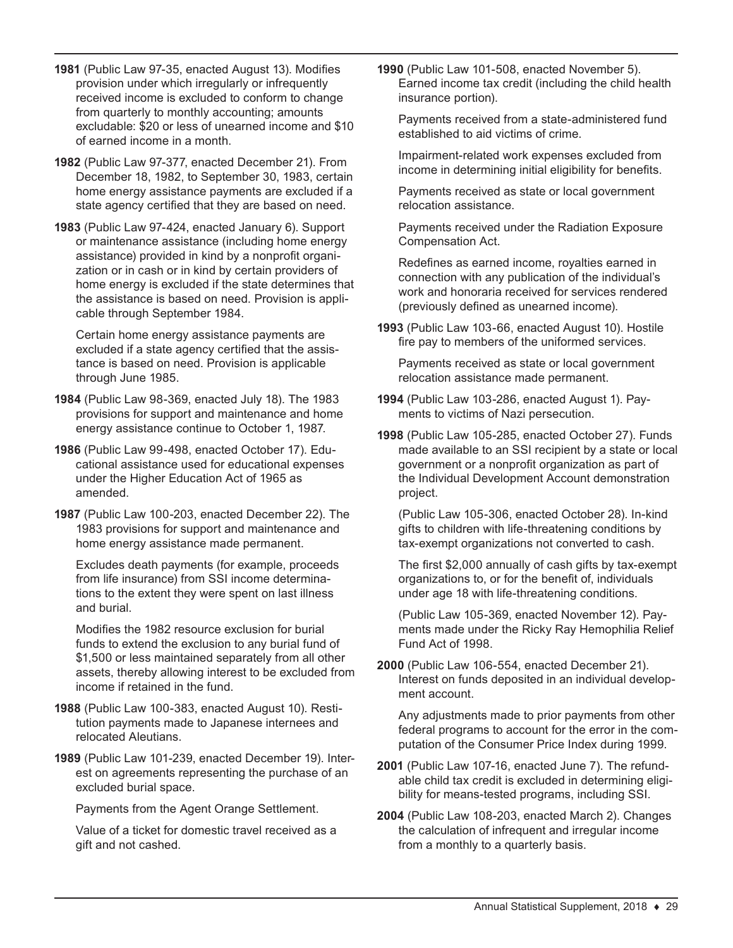- **1981** (Public Law 97-35, enacted August 13). Modifies provision under which irregularly or infrequently received income is excluded to conform to change from quarterly to monthly accounting; amounts excludable: \$20 or less of unearned income and \$10 of earned income in a month.
- **1982** (Public Law 97-377, enacted December 21). From December 18, 1982, to September 30, 1983, certain home energy assistance payments are excluded if a state agency certified that they are based on need.
- **1983** (Public Law 97-424, enacted January 6). Support or maintenance assistance (including home energy assistance) provided in kind by a nonprofit organization or in cash or in kind by certain providers of home energy is excluded if the state determines that the assistance is based on need. Provision is applicable through September 1984.

Certain home energy assistance payments are excluded if a state agency certified that the assistance is based on need. Provision is applicable through June 1985.

- **1984** (Public Law 98-369, enacted July 18). The 1983 provisions for support and maintenance and home energy assistance continue to October 1, 1987.
- **1986** (Public Law 99-498, enacted October 17). Educational assistance used for educational expenses under the Higher Education Act of 1965 as amended.
- **1987** (Public Law 100-203, enacted December 22). The 1983 provisions for support and maintenance and home energy assistance made permanent.

Excludes death payments (for example, proceeds from life insurance) from SSI income determinations to the extent they were spent on last illness and burial.

Modifies the 1982 resource exclusion for burial funds to extend the exclusion to any burial fund of \$1,500 or less maintained separately from all other assets, thereby allowing interest to be excluded from income if retained in the fund.

- **1988** (Public Law 100-383, enacted August 10). Restitution payments made to Japanese internees and relocated Aleutians.
- **1989** (Public Law 101-239, enacted December 19). Interest on agreements representing the purchase of an excluded burial space.

Payments from the Agent Orange Settlement.

Value of a ticket for domestic travel received as a gift and not cashed.

**1990** (Public Law 101-508, enacted November 5). Earned income tax credit (including the child health insurance portion).

Payments received from a state-administered fund established to aid victims of crime.

Impairment-related work expenses excluded from income in determining initial eligibility for benefits.

Payments received as state or local government relocation assistance.

Payments received under the Radiation Exposure Compensation Act.

Redefines as earned income, royalties earned in connection with any publication of the individual's work and honoraria received for services rendered (previously defined as unearned income).

**1993** (Public Law 103-66, enacted August 10). Hostile fire pay to members of the uniformed services.

Payments received as state or local government relocation assistance made permanent.

- **1994** (Public Law 103-286, enacted August 1). Payments to victims of Nazi persecution.
- **1998** (Public Law 105-285, enacted October 27). Funds made available to an SSI recipient by a state or local government or a nonprofit organization as part of the Individual Development Account demonstration project.

(Public Law 105-306, enacted October 28). In-kind gifts to children with life-threatening conditions by tax-exempt organizations not converted to cash.

The first \$2,000 annually of cash gifts by tax-exempt organizations to, or for the benefit of, individuals under age 18 with life-threatening conditions.

(Public Law 105-369, enacted November 12). Payments made under the Ricky Ray Hemophilia Relief Fund Act of 1998.

**2000** (Public Law 106-554, enacted December 21). Interest on funds deposited in an individual development account.

Any adjustments made to prior payments from other federal programs to account for the error in the computation of the Consumer Price Index during 1999.

- **2001** (Public Law 107-16, enacted June 7). The refundable child tax credit is excluded in determining eligibility for means-tested programs, including SSI.
- **2004** (Public Law 108-203, enacted March 2). Changes the calculation of infrequent and irregular income from a monthly to a quarterly basis.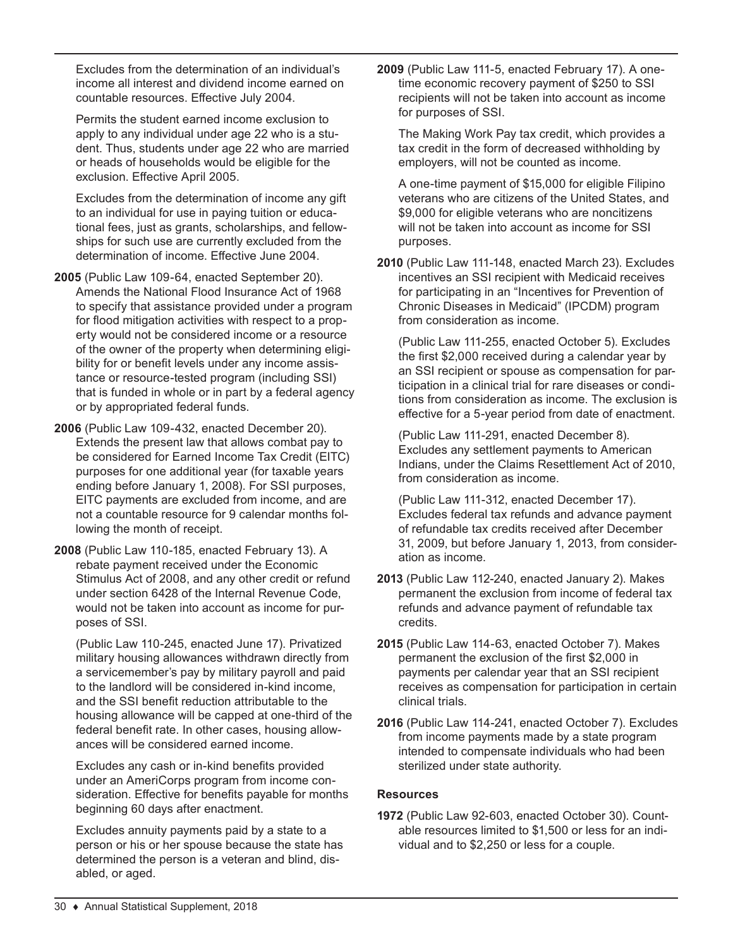Excludes from the determination of an individual's income all interest and dividend income earned on countable resources. Effective July 2004.

Permits the student earned income exclusion to apply to any individual under age 22 who is a student. Thus, students under age 22 who are married or heads of households would be eligible for the exclusion. Effective April 2005.

Excludes from the determination of income any gift to an individual for use in paying tuition or educational fees, just as grants, scholarships, and fellowships for such use are currently excluded from the determination of income. Effective June 2004.

- **2005** (Public Law 109-64, enacted September 20). Amends the National Flood Insurance Act of 1968 to specify that assistance provided under a program for flood mitigation activities with respect to a property would not be considered income or a resource of the owner of the property when determining eligibility for or benefit levels under any income assistance or resource-tested program (including SSI) that is funded in whole or in part by a federal agency or by appropriated federal funds.
- **2006** (Public Law 109-432, enacted December 20). Extends the present law that allows combat pay to be considered for Earned Income Tax Credit (EITC) purposes for one additional year (for taxable years ending before January 1, 2008). For SSI purposes, EITC payments are excluded from income, and are not a countable resource for 9 calendar months following the month of receipt.
- **2008** (Public Law 110-185, enacted February 13). A rebate payment received under the Economic Stimulus Act of 2008, and any other credit or refund under section 6428 of the Internal Revenue Code, would not be taken into account as income for purposes of SSI.

(Public Law 110-245, enacted June 17). Privatized military housing allowances withdrawn directly from a servicemember's pay by military payroll and paid to the landlord will be considered in-kind income, and the SSI benefit reduction attributable to the housing allowance will be capped at one-third of the federal benefit rate. In other cases, housing allowances will be considered earned income.

Excludes any cash or in-kind benefits provided under an AmeriCorps program from income consideration. Effective for benefits payable for months beginning 60 days after enactment.

Excludes annuity payments paid by a state to a person or his or her spouse because the state has determined the person is a veteran and blind, disabled, or aged.

**2009** (Public Law 111-5, enacted February 17). A onetime economic recovery payment of \$250 to SSI recipients will not be taken into account as income for purposes of SSI.

The Making Work Pay tax credit, which provides a tax credit in the form of decreased withholding by employers, will not be counted as income.

A one-time payment of \$15,000 for eligible Filipino veterans who are citizens of the United States, and \$9,000 for eligible veterans who are noncitizens will not be taken into account as income for SSI purposes.

**2010** (Public Law 111-148, enacted March 23). Excludes incentives an SSI recipient with Medicaid receives for participating in an "Incentives for Prevention of Chronic Diseases in Medicaid" (IPCDM) program from consideration as income.

(Public Law 111-255, enacted October 5). Excludes the first \$2,000 received during a calendar year by an SSI recipient or spouse as compensation for participation in a clinical trial for rare diseases or conditions from consideration as income. The exclusion is effective for a 5-year period from date of enactment.

(Public Law 111-291, enacted December 8). Excludes any settlement payments to American Indians, under the Claims Resettlement Act of 2010, from consideration as income.

(Public Law 111-312, enacted December 17). Excludes federal tax refunds and advance payment of refundable tax credits received after December 31, 2009, but before January 1, 2013, from consideration as income.

- **2013** (Public Law 112-240, enacted January 2). Makes permanent the exclusion from income of federal tax refunds and advance payment of refundable tax credits.
- **2015** (Public Law 114-63, enacted October 7). Makes permanent the exclusion of the first \$2,000 in payments per calendar year that an SSI recipient receives as compensation for participation in certain clinical trials.

**2016** (Public Law 114-241, enacted October 7). Excludes from income payments made by a state program intended to compensate individuals who had been sterilized under state authority.

## **Resources**

**1972** (Public Law 92-603, enacted October 30). Countable resources limited to \$1,500 or less for an individual and to \$2,250 or less for a couple.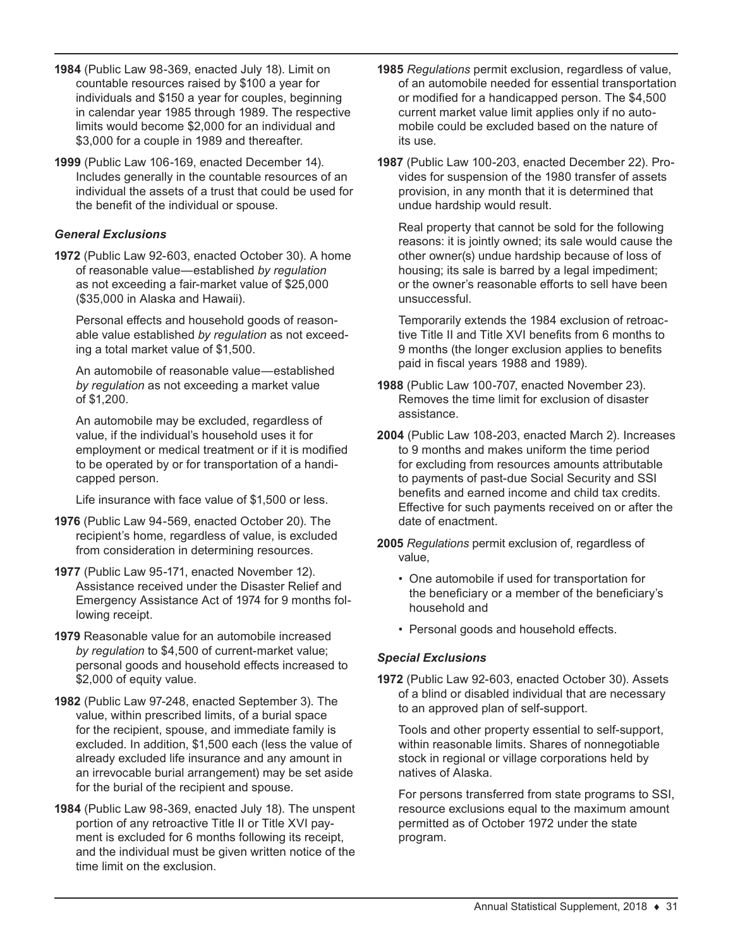- **1984** (Public Law 98-369, enacted July 18). Limit on countable resources raised by \$100 a year for individuals and \$150 a year for couples, beginning in calendar year 1985 through 1989. The respective limits would become \$2,000 for an individual and \$3,000 for a couple in 1989 and thereafter.
- **1999** (Public Law 106-169, enacted December 14). Includes generally in the countable resources of an individual the assets of a trust that could be used for the benefit of the individual or spouse.

## *General Exclusions*

**1972** (Public Law 92-603, enacted October 30). A home of reasonable value—established *by regulation* as not exceeding a fair-market value of \$25,000 (\$35,000 in Alaska and Hawaii).

Personal effects and household goods of reasonable value established *by regulation* as not exceeding a total market value of \$1,500.

An automobile of reasonable value—established *by regulation* as not exceeding a market value of \$1,200.

An automobile may be excluded, regardless of value, if the individual's household uses it for employment or medical treatment or if it is modified to be operated by or for transportation of a handicapped person.

Life insurance with face value of \$1,500 or less.

- **1976** (Public Law 94-569, enacted October 20). The recipient's home, regardless of value, is excluded from consideration in determining resources.
- **1977** (Public Law 95-171, enacted November 12). Assistance received under the Disaster Relief and Emergency Assistance Act of 1974 for 9 months following receipt.
- **1979** Reasonable value for an automobile increased *by regulation* to \$4,500 of current-market value; personal goods and household effects increased to \$2,000 of equity value.
- **1982** (Public Law 97-248, enacted September 3). The value, within prescribed limits, of a burial space for the recipient, spouse, and immediate family is excluded. In addition, \$1,500 each (less the value of already excluded life insurance and any amount in an irrevocable burial arrangement) may be set aside for the burial of the recipient and spouse.
- **1984** (Public Law 98-369, enacted July 18). The unspent portion of any retroactive Title II or Title XVI payment is excluded for 6 months following its receipt, and the individual must be given written notice of the time limit on the exclusion.
- **1985** *Regulations* permit exclusion, regardless of value, of an automobile needed for essential transportation or modified for a handicapped person. The \$4,500 current market value limit applies only if no automobile could be excluded based on the nature of its use.
- **1987** (Public Law 100-203, enacted December 22). Provides for suspension of the 1980 transfer of assets provision, in any month that it is determined that undue hardship would result.

Real property that cannot be sold for the following reasons: it is jointly owned; its sale would cause the other owner(s) undue hardship because of loss of housing; its sale is barred by a legal impediment; or the owner's reasonable efforts to sell have been unsuccessful.

Temporarily extends the 1984 exclusion of retroactive Title II and Title XVI benefits from 6 months to 9 months (the longer exclusion applies to benefits paid in fiscal years 1988 and 1989).

- **1988** (Public Law 100-707, enacted November 23). Removes the time limit for exclusion of disaster assistance.
- **2004** (Public Law 108-203, enacted March 2). Increases to 9 months and makes uniform the time period for excluding from resources amounts attributable to payments of past-due Social Security and SSI benefits and earned income and child tax credits. Effective for such payments received on or after the date of enactment.
- **2005** *Regulations* permit exclusion of, regardless of value,
	- One automobile if used for transportation for the beneficiary or a member of the beneficiary's household and
	- Personal goods and household effects.

#### *Special Exclusions*

**1972** (Public Law 92-603, enacted October 30). Assets of a blind or disabled individual that are necessary to an approved plan of self-support.

Tools and other property essential to self-support, within reasonable limits. Shares of nonnegotiable stock in regional or village corporations held by natives of Alaska.

For persons transferred from state programs to SSI, resource exclusions equal to the maximum amount permitted as of October 1972 under the state program.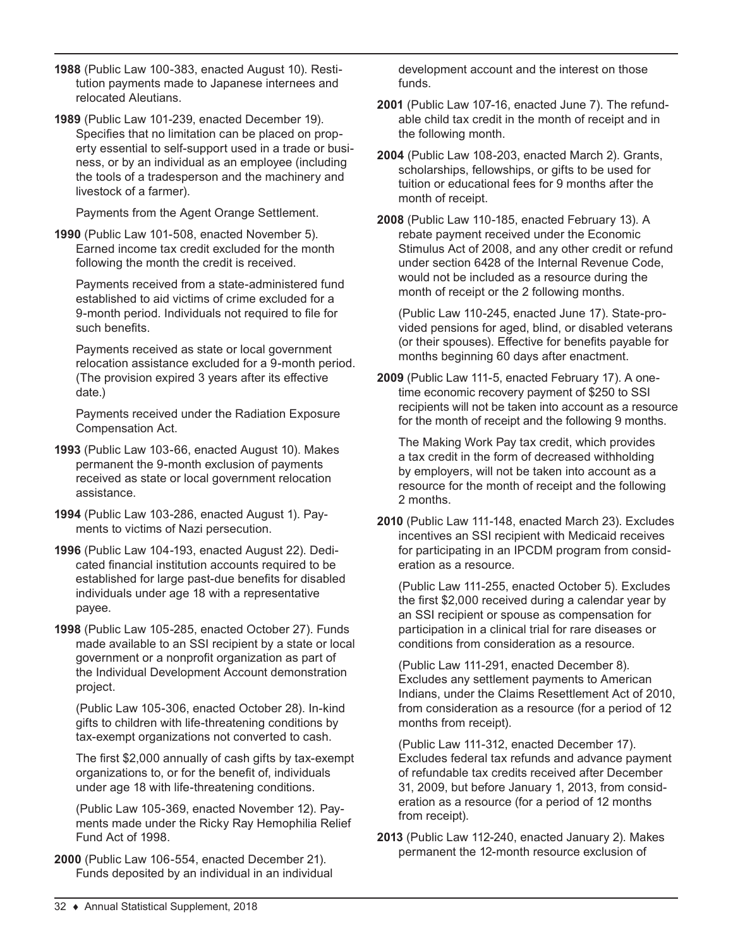- **1988** (Public Law 100-383, enacted August 10). Restitution payments made to Japanese internees and relocated Aleutians.
- **1989** (Public Law 101-239, enacted December 19). Specifies that no limitation can be placed on property essential to self-support used in a trade or business, or by an individual as an employee (including the tools of a tradesperson and the machinery and livestock of a farmer).

Payments from the Agent Orange Settlement.

**1990** (Public Law 101-508, enacted November 5). Earned income tax credit excluded for the month following the month the credit is received.

Payments received from a state-administered fund established to aid victims of crime excluded for a 9-month period. Individuals not required to file for such benefits.

Payments received as state or local government relocation assistance excluded for a 9-month period. (The provision expired 3 years after its effective date.)

Payments received under the Radiation Exposure Compensation Act.

- **1993** (Public Law 103-66, enacted August 10). Makes permanent the 9-month exclusion of payments received as state or local government relocation assistance.
- **1994** (Public Law 103-286, enacted August 1). Payments to victims of Nazi persecution.
- **1996** (Public Law 104-193, enacted August 22). Dedicated financial institution accounts required to be established for large past-due benefits for disabled individuals under age 18 with a representative payee.
- **1998** (Public Law 105-285, enacted October 27). Funds made available to an SSI recipient by a state or local government or a nonprofit organization as part of the Individual Development Account demonstration project.

(Public Law 105-306, enacted October 28). In-kind gifts to children with life-threatening conditions by tax-exempt organizations not converted to cash.

The first \$2,000 annually of cash gifts by tax-exempt organizations to, or for the benefit of, individuals under age 18 with life-threatening conditions.

(Public Law 105-369, enacted November 12). Payments made under the Ricky Ray Hemophilia Relief Fund Act of 1998.

**2000** (Public Law 106-554, enacted December 21). Funds deposited by an individual in an individual

development account and the interest on those funds.

- **2001** (Public Law 107-16, enacted June 7). The refundable child tax credit in the month of receipt and in the following month.
- **2004** (Public Law 108-203, enacted March 2). Grants, scholarships, fellowships, or gifts to be used for tuition or educational fees for 9 months after the month of receipt.

**2008** (Public Law 110-185, enacted February 13). A rebate payment received under the Economic Stimulus Act of 2008, and any other credit or refund under section 6428 of the Internal Revenue Code, would not be included as a resource during the month of receipt or the 2 following months.

(Public Law 110-245, enacted June 17). State-provided pensions for aged, blind, or disabled veterans (or their spouses). Effective for benefits payable for months beginning 60 days after enactment.

**2009** (Public Law 111-5, enacted February 17). A onetime economic recovery payment of \$250 to SSI recipients will not be taken into account as a resource for the month of receipt and the following 9 months.

The Making Work Pay tax credit, which provides a tax credit in the form of decreased withholding by employers, will not be taken into account as a resource for the month of receipt and the following 2 months.

**2010** (Public Law 111-148, enacted March 23). Excludes incentives an SSI recipient with Medicaid receives for participating in an IPCDM program from consideration as a resource.

(Public Law 111-255, enacted October 5). Excludes the first \$2,000 received during a calendar year by an SSI recipient or spouse as compensation for participation in a clinical trial for rare diseases or conditions from consideration as a resource.

(Public Law 111-291, enacted December 8). Excludes any settlement payments to American Indians, under the Claims Resettlement Act of 2010, from consideration as a resource (for a period of 12 months from receipt).

(Public Law 111-312, enacted December 17). Excludes federal tax refunds and advance payment of refundable tax credits received after December 31, 2009, but before January 1, 2013, from consideration as a resource (for a period of 12 months from receipt).

**2013** (Public Law 112-240, enacted January 2). Makes permanent the 12-month resource exclusion of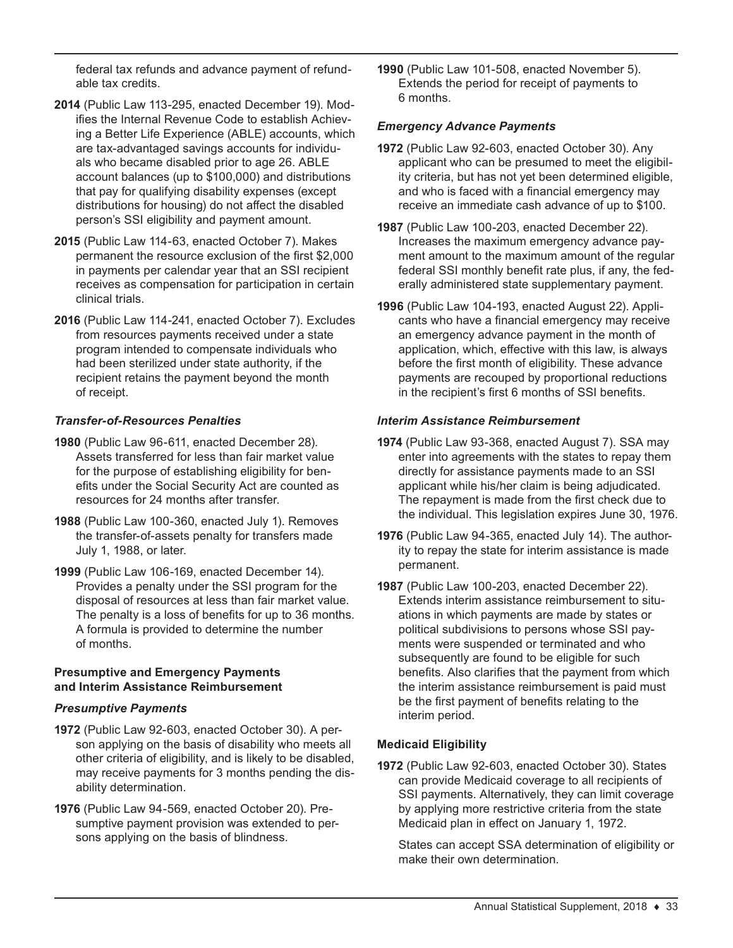federal tax refunds and advance payment of refundable tax credits.

- **2014** (Public Law 113-295, enacted December 19). Modifies the Internal Revenue Code to establish Achieving a Better Life Experience (ABLE) accounts, which are tax-advantaged savings accounts for individuals who became disabled prior to age 26. ABLE account balances (up to \$100,000) and distributions that pay for qualifying disability expenses (except distributions for housing) do not affect the disabled person's SSI eligibility and payment amount.
- **2015** (Public Law 114-63, enacted October 7). Makes permanent the resource exclusion of the first \$2,000 in payments per calendar year that an SSI recipient receives as compensation for participation in certain clinical trials.
- **2016** (Public Law 114-241, enacted October 7). Excludes from resources payments received under a state program intended to compensate individuals who had been sterilized under state authority, if the recipient retains the payment beyond the month of receipt.

#### *Transfer-of-Resources Penalties*

- **1980** (Public Law 96-611, enacted December 28). Assets transferred for less than fair market value for the purpose of establishing eligibility for benefits under the Social Security Act are counted as resources for 24 months after transfer.
- **1988** (Public Law 100-360, enacted July 1). Removes the transfer-of-assets penalty for transfers made July 1, 1988, or later.
- **1999** (Public Law 106-169, enacted December 14). Provides a penalty under the SSI program for the disposal of resources at less than fair market value. The penalty is a loss of benefits for up to 36 months. A formula is provided to determine the number of months.

#### **Presumptive and Emergency Payments and Interim Assistance Reimbursement**

#### *Presumptive Payments*

- **1972** (Public Law 92-603, enacted October 30). A person applying on the basis of disability who meets all other criteria of eligibility, and is likely to be disabled, may receive payments for 3 months pending the disability determination.
- **1976** (Public Law 94-569, enacted October 20). Presumptive payment provision was extended to persons applying on the basis of blindness.

**1990** (Public Law 101-508, enacted November 5). Extends the period for receipt of payments to 6 months.

#### *Emergency Advance Payments*

- **1972** (Public Law 92-603, enacted October 30). Any applicant who can be presumed to meet the eligibility criteria, but has not yet been determined eligible, and who is faced with a financial emergency may receive an immediate cash advance of up to \$100.
- **1987** (Public Law 100-203, enacted December 22). Increases the maximum emergency advance payment amount to the maximum amount of the regular federal SSI monthly benefit rate plus, if any, the federally administered state supplementary payment.
- **1996** (Public Law 104-193, enacted August 22). Applicants who have a financial emergency may receive an emergency advance payment in the month of application, which, effective with this law, is always before the first month of eligibility. These advance payments are recouped by proportional reductions in the recipient's first 6 months of SSI benefits.

#### *Interim Assistance Reimbursement*

- **1974** (Public Law 93-368, enacted August 7). SSA may enter into agreements with the states to repay them directly for assistance payments made to an SSI applicant while his/her claim is being adjudicated. The repayment is made from the first check due to the individual. This legislation expires June 30, 1976.
- **1976** (Public Law 94-365, enacted July 14). The authority to repay the state for interim assistance is made permanent.
- **1987** (Public Law 100-203, enacted December 22). Extends interim assistance reimbursement to situations in which payments are made by states or political subdivisions to persons whose SSI payments were suspended or terminated and who subsequently are found to be eligible for such benefits. Also clarifies that the payment from which the interim assistance reimbursement is paid must be the first payment of benefits relating to the interim period.

## **Medicaid Eligibility**

**1972** (Public Law 92-603, enacted October 30). States can provide Medicaid coverage to all recipients of SSI payments. Alternatively, they can limit coverage by applying more restrictive criteria from the state Medicaid plan in effect on January 1, 1972.

States can accept SSA determination of eligibility or make their own determination.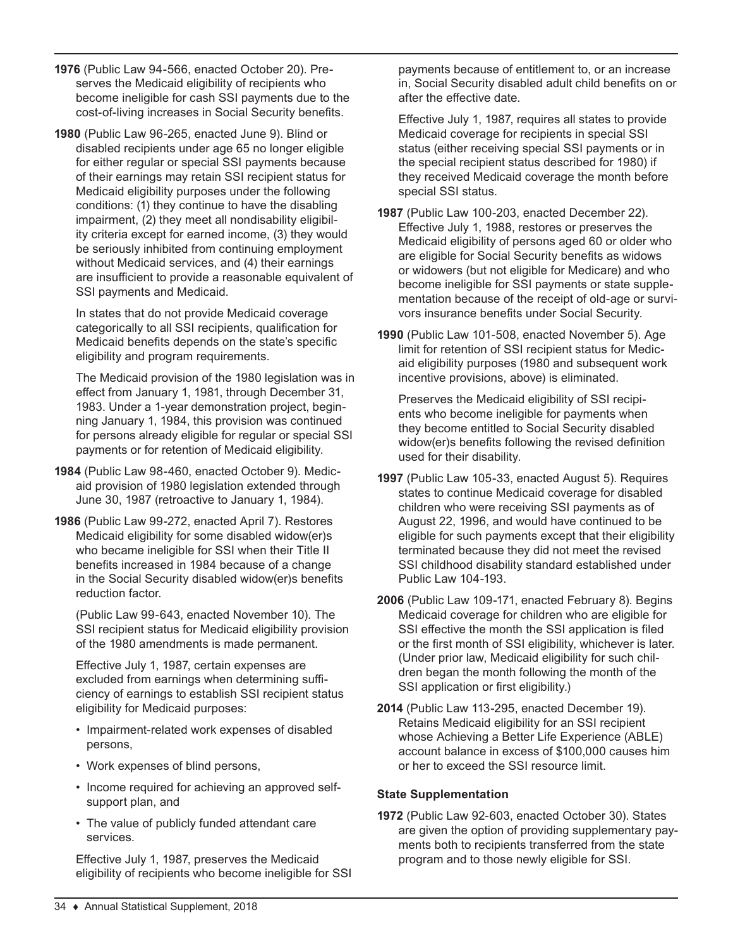- **1976** (Public Law 94-566, enacted October 20). Preserves the Medicaid eligibility of recipients who become ineligible for cash SSI payments due to the cost-of-living increases in Social Security benefits.
- **1980** (Public Law 96-265, enacted June 9). Blind or disabled recipients under age 65 no longer eligible for either regular or special SSI payments because of their earnings may retain SSI recipient status for Medicaid eligibility purposes under the following conditions: (1) they continue to have the disabling impairment, (2) they meet all nondisability eligibility criteria except for earned income, (3) they would be seriously inhibited from continuing employment without Medicaid services, and (4) their earnings are insufficient to provide a reasonable equivalent of SSI payments and Medicaid.

In states that do not provide Medicaid coverage categorically to all SSI recipients, qualification for Medicaid benefits depends on the state's specific eligibility and program requirements.

The Medicaid provision of the 1980 legislation was in effect from January 1, 1981, through December 31, 1983. Under a 1-year demonstration project, beginning January 1, 1984, this provision was continued for persons already eligible for regular or special SSI payments or for retention of Medicaid eligibility.

- **1984** (Public Law 98-460, enacted October 9). Medicaid provision of 1980 legislation extended through June 30, 1987 (retroactive to January 1, 1984).
- **1986** (Public Law 99-272, enacted April 7). Restores Medicaid eligibility for some disabled widow(er)s who became ineligible for SSI when their Title II benefits increased in 1984 because of a change in the Social Security disabled widow(er)s benefits reduction factor.

(Public Law 99-643, enacted November 10). The SSI recipient status for Medicaid eligibility provision of the 1980 amendments is made permanent.

Effective July 1, 1987, certain expenses are excluded from earnings when determining sufficiency of earnings to establish SSI recipient status eligibility for Medicaid purposes:

- Impairment-related work expenses of disabled persons,
- Work expenses of blind persons,
- Income required for achieving an approved selfsupport plan, and
- The value of publicly funded attendant care services.

Effective July 1, 1987, preserves the Medicaid eligibility of recipients who become ineligible for SSI

payments because of entitlement to, or an increase in, Social Security disabled adult child benefits on or after the effective date.

Effective July 1, 1987, requires all states to provide Medicaid coverage for recipients in special SSI status (either receiving special SSI payments or in the special recipient status described for 1980) if they received Medicaid coverage the month before special SSI status.

- **1987** (Public Law 100-203, enacted December 22). Effective July 1, 1988, restores or preserves the Medicaid eligibility of persons aged 60 or older who are eligible for Social Security benefits as widows or widowers (but not eligible for Medicare) and who become ineligible for SSI payments or state supplementation because of the receipt of old-age or survivors insurance benefits under Social Security.
- **1990** (Public Law 101-508, enacted November 5). Age limit for retention of SSI recipient status for Medicaid eligibility purposes (1980 and subsequent work incentive provisions, above) is eliminated.

Preserves the Medicaid eligibility of SSI recipients who become ineligible for payments when they become entitled to Social Security disabled widow(er)s benefits following the revised definition used for their disability.

- **1997** (Public Law 105-33, enacted August 5). Requires states to continue Medicaid coverage for disabled children who were receiving SSI payments as of August 22, 1996, and would have continued to be eligible for such payments except that their eligibility terminated because they did not meet the revised SSI childhood disability standard established under Public Law 104-193.
- **2006** (Public Law 109-171, enacted February 8). Begins Medicaid coverage for children who are eligible for SSI effective the month the SSI application is filed or the first month of SSI eligibility, whichever is later. (Under prior law, Medicaid eligibility for such children began the month following the month of the SSI application or first eligibility.)
- **2014** (Public Law 113-295, enacted December 19). Retains Medicaid eligibility for an SSI recipient whose Achieving a Better Life Experience (ABLE) account balance in excess of \$100,000 causes him or her to exceed the SSI resource limit.

## **State Supplementation**

**1972** (Public Law 92-603, enacted October 30). States are given the option of providing supplementary payments both to recipients transferred from the state program and to those newly eligible for SSI.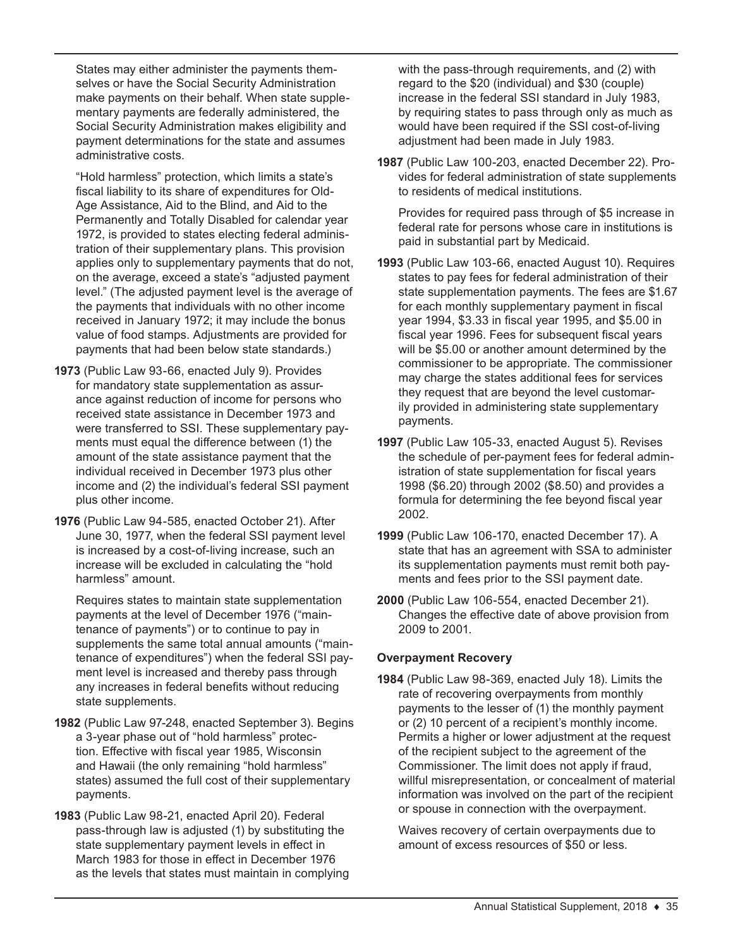States may either administer the payments themselves or have the Social Security Administration make payments on their behalf. When state supplementary payments are federally administered, the Social Security Administration makes eligibility and payment determinations for the state and assumes administrative costs.

"Hold harmless" protection, which limits a state's fiscal liability to its share of expenditures for Old-Age Assistance, Aid to the Blind, and Aid to the Permanently and Totally Disabled for calendar year 1972, is provided to states electing federal administration of their supplementary plans. This provision applies only to supplementary payments that do not, on the average, exceed a state's "adjusted payment level." (The adjusted payment level is the average of the payments that individuals with no other income received in January 1972; it may include the bonus value of food stamps. Adjustments are provided for payments that had been below state standards.)

- **1973** (Public Law 93-66, enacted July 9). Provides for mandatory state supplementation as assurance against reduction of income for persons who received state assistance in December 1973 and were transferred to SSI. These supplementary payments must equal the difference between (1) the amount of the state assistance payment that the individual received in December 1973 plus other income and (2) the individual's federal SSI payment plus other income.
- **1976** (Public Law 94-585, enacted October 21). After June 30, 1977, when the federal SSI payment level is increased by a cost-of-living increase, such an increase will be excluded in calculating the "hold harmless" amount.

Requires states to maintain state supplementation payments at the level of December 1976 ("maintenance of payments") or to continue to pay in supplements the same total annual amounts ("maintenance of expenditures") when the federal SSI payment level is increased and thereby pass through any increases in federal benefits without reducing state supplements.

- **1982** (Public Law 97-248, enacted September 3). Begins a 3-year phase out of "hold harmless" protection. Effective with fiscal year 1985, Wisconsin and Hawaii (the only remaining "hold harmless" states) assumed the full cost of their supplementary payments.
- **1983** (Public Law 98-21, enacted April 20). Federal pass-through law is adjusted (1) by substituting the state supplementary payment levels in effect in March 1983 for those in effect in December 1976 as the levels that states must maintain in complying

with the pass-through requirements, and (2) with regard to the \$20 (individual) and \$30 (couple) increase in the federal SSI standard in July 1983, by requiring states to pass through only as much as would have been required if the SSI cost-of-living adjustment had been made in July 1983.

**1987** (Public Law 100-203, enacted December 22). Provides for federal administration of state supplements to residents of medical institutions.

Provides for required pass through of \$5 increase in federal rate for persons whose care in institutions is paid in substantial part by Medicaid.

- **1993** (Public Law 103-66, enacted August 10). Requires states to pay fees for federal administration of their state supplementation payments. The fees are \$1.67 for each monthly supplementary payment in fiscal year 1994, \$3.33 in fiscal year 1995, and \$5.00 in fiscal year 1996. Fees for subsequent fiscal years will be \$5.00 or another amount determined by the commissioner to be appropriate. The commissioner may charge the states additional fees for services they request that are beyond the level customarily provided in administering state supplementary payments.
- **1997** (Public Law 105-33, enacted August 5). Revises the schedule of per-payment fees for federal administration of state supplementation for fiscal years 1998 (\$6.20) through 2002 (\$8.50) and provides a formula for determining the fee beyond fiscal year 2002.
- **1999** (Public Law 106-170, enacted December 17). A state that has an agreement with SSA to administer its supplementation payments must remit both payments and fees prior to the SSI payment date.
- **2000** (Public Law 106-554, enacted December 21). Changes the effective date of above provision from 2009 to 2001.

#### **Overpayment Recovery**

**1984** (Public Law 98-369, enacted July 18). Limits the rate of recovering overpayments from monthly payments to the lesser of (1) the monthly payment or (2) 10 percent of a recipient's monthly income. Permits a higher or lower adjustment at the request of the recipient subject to the agreement of the Commissioner. The limit does not apply if fraud, willful misrepresentation, or concealment of material information was involved on the part of the recipient or spouse in connection with the overpayment.

Waives recovery of certain overpayments due to amount of excess resources of \$50 or less.